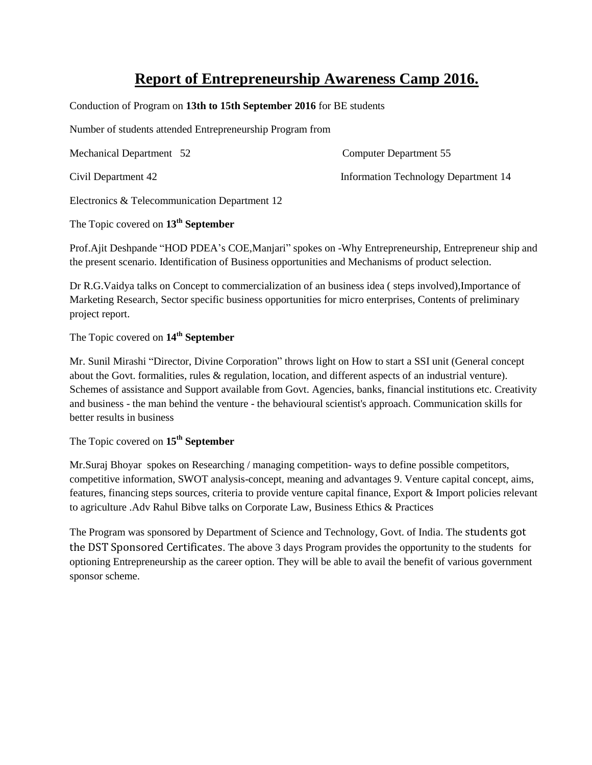## **Report of Entrepreneurship Awareness Camp 2016.**

Conduction of Program on **13th to 15th September 2016** for BE students

Number of students attended Entrepreneurship Program from

Mechanical Department 52 Computer Department 55

Civil Department 42 Information Technology Department 14

Electronics & Telecommunication Department 12

The Topic covered on **13th September**

Prof.Ajit Deshpande "HOD PDEA's COE,Manjari" spokes on -Why Entrepreneurship, Entrepreneur ship and the present scenario. Identification of Business opportunities and Mechanisms of product selection.

Dr R.G.Vaidya talks on Concept to commercialization of an business idea ( steps involved),Importance of Marketing Research, Sector specific business opportunities for micro enterprises, Contents of preliminary project report.

## The Topic covered on **14th September**

Mr. Sunil Mirashi "Director, Divine Corporation" throws light on How to start a SSI unit (General concept about the Govt. formalities, rules & regulation, location, and different aspects of an industrial venture). Schemes of assistance and Support available from Govt. Agencies, banks, financial institutions etc. Creativity and business - the man behind the venture - the behavioural scientist's approach. Communication skills for better results in business

The Topic covered on **15th September**

Mr.Suraj Bhoyar spokes on Researching / managing competition- ways to define possible competitors, competitive information, SWOT analysis-concept, meaning and advantages 9. Venture capital concept, aims, features, financing steps sources, criteria to provide venture capital finance, Export & Import policies relevant to agriculture .Adv Rahul Bibve talks on Corporate Law, Business Ethics & Practices

The Program was sponsored by Department of Science and Technology, Govt. of India. The students got the DST Sponsored Certificates. The above 3 days Program provides the opportunity to the students for optioning Entrepreneurship as the career option. They will be able to avail the benefit of various government sponsor scheme.